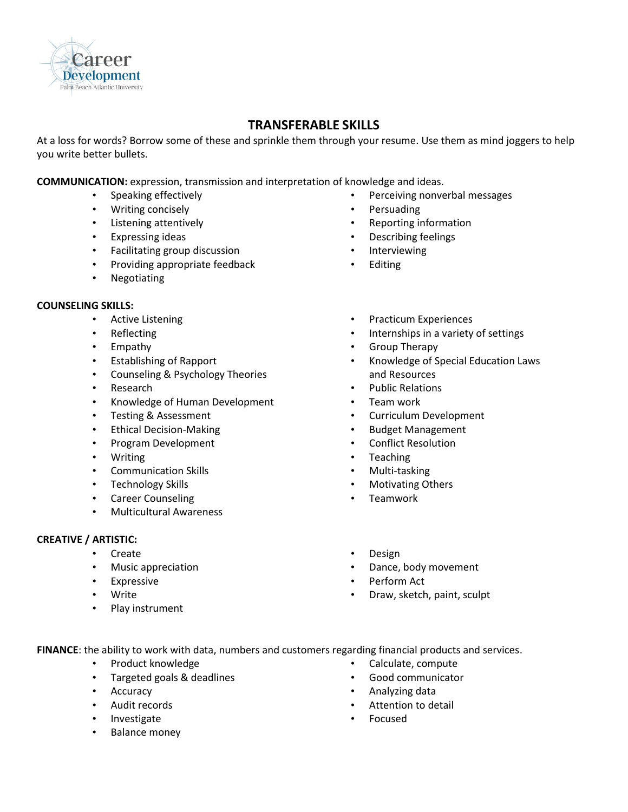

## **TRANSFERABLE SKILLS**

At a loss for words? Borrow some of these and sprinkle them through your resume. Use them as mind joggers to help you write better bullets.

**COMMUNICATION:** expression, transmission and interpretation of knowledge and ideas.

- Speaking effectively
- Writing concisely
- Listening attentively
- Expressing ideas
- Facilitating group discussion
- Providing appropriate feedback
- Negotiating

## **COUNSELING SKILLS:**

- Active Listening
- **Reflecting**
- Empathy
- Establishing of Rapport
- Counseling & Psychology Theories
- Research
- Knowledge of Human Development
- Testing & Assessment
- Ethical Decision-Making
- Program Development
- Writing
- Communication Skills
- Technology Skills
- Career Counseling
- Multicultural Awareness

## **CREATIVE / ARTISTIC:**

- Create
- Music appreciation
- Expressive
- Write
- Play instrument
- Perceiving nonverbal messages
- Persuading
- Reporting information
- Describing feelings
- Interviewing
- **Editing**
- Practicum Experiences
- Internships in a variety of settings
- Group Therapy
- Knowledge of Special Education Laws and Resources
- Public Relations
- Team work
- Curriculum Development
- Budget Management
- Conflict Resolution
- Teaching
- Multi-tasking
- Motivating Others
- Teamwork
- Design
- Dance, body movement
- Perform Act
- Draw, sketch, paint, sculpt

**FINANCE**: the ability to work with data, numbers and customers regarding financial products and services.

- Product knowledge
- Targeted goals & deadlines
- Accuracy
- Audit records
- **Investigate**
- Balance money
- Calculate, compute
- Good communicator
- Analyzing data
- Attention to detail
- Focused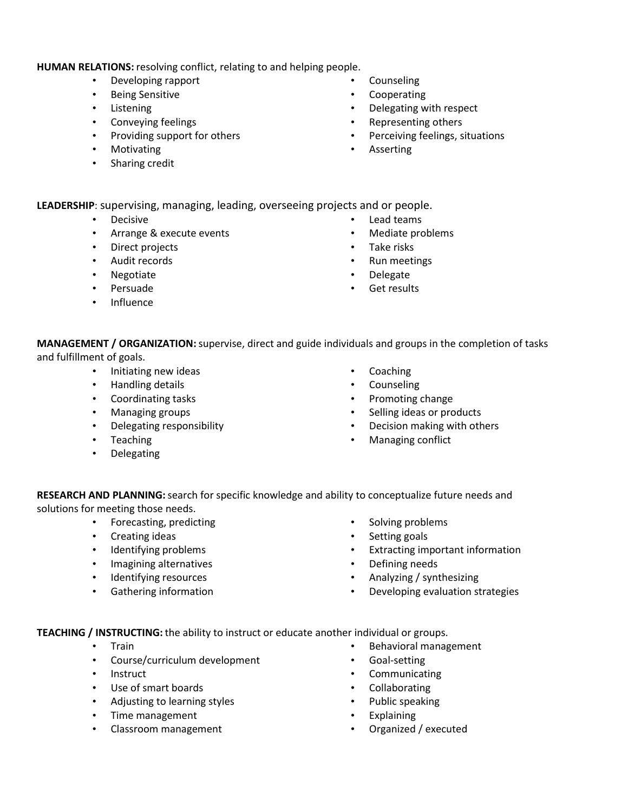## **HUMAN RELATIONS:** resolving conflict, relating to and helping people.

- Developing rapport
- Being Sensitive
- Listening
- Conveying feelings
- Providing support for others
- Motivating
- Sharing credit
- Counseling
- Cooperating
- Delegating with respect
- Representing others
- Perceiving feelings, situations
- **Asserting**

**LEADERSHIP**: supervising, managing, leading, overseeing projects and or people.

- Decisive
- Arrange & execute events
- Direct projects
- Audit records
- Negotiate
- Persuade
- Influence
- Lead teams
- Mediate problems
- Take risks
- Run meetings
- Delegate
- Get results

**MANAGEMENT / ORGANIZATION:**supervise, direct and guide individuals and groups in the completion of tasks and fulfillment of goals.

- Initiating new ideas
- Handling details
- Coordinating tasks
- Managing groups
- Delegating responsibility
- Teaching
- Delegating
- **Coaching**
- **Counseling**
- Promoting change
- Selling ideas or products
- Decision making with others
- Managing conflict

**RESEARCH AND PLANNING:**search for specific knowledge and ability to conceptualize future needs and solutions for meeting those needs.

- Forecasting, predicting
- Creating ideas
- Identifying problems
- Imagining alternatives
- Identifying resources
- Gathering information
- Solving problems
- Setting goals
- Extracting important information
- Defining needs
- Analyzing / synthesizing
- Developing evaluation strategies

**TEACHING / INSTRUCTING:** the ability to instruct or educate another individual or groups.

- Train
- Course/curriculum development
- Instruct
- Use of smart boards
- Adjusting to learning styles
- Time management
- Classroom management
- Behavioral management
- Goal-setting
- Communicating
- **Collaborating**
- Public speaking
- **Explaining**
- Organized / executed